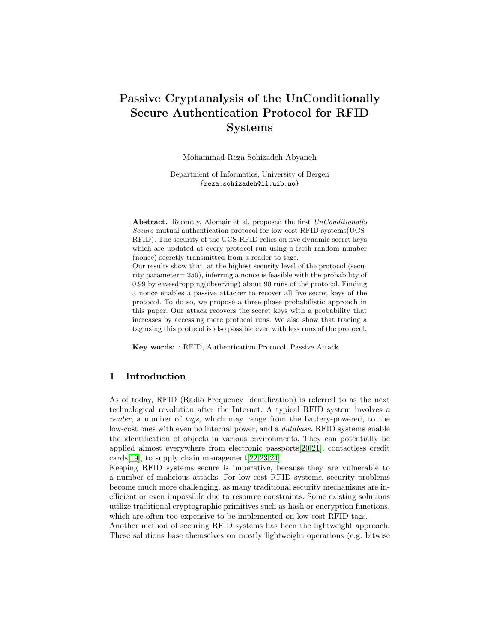# Passive Cryptanalysis of the UnConditionally Secure Authentication Protocol for RFID Systems

Mohammad Reza Sohizadeh Abyaneh

Department of Informatics, University of Bergen {reza.sohizadeh@ii.uib.no}

Abstract. Recently, Alomair et al. proposed the first UnConditionally Secure mutual authentication protocol for low-cost RFID systems(UCS-RFID). The security of the UCS-RFID relies on five dynamic secret keys which are updated at every protocol run using a fresh random number (nonce) secretly transmitted from a reader to tags.

Our results show that, at the highest security level of the protocol (security parameter= 256), inferring a nonce is feasible with the probability of 0.99 by eavesdropping(observing) about 90 runs of the protocol. Finding a nonce enables a passive attacker to recover all five secret keys of the protocol. To do so, we propose a three-phase probabilistic approach in this paper. Our attack recovers the secret keys with a probability that increases by accessing more protocol runs. We also show that tracing a tag using this protocol is also possible even with less runs of the protocol.

Key words: : RFID, Authentication Protocol, Passive Attack

# 1 Introduction

As of today, RFID (Radio Frequency Identification) is referred to as the next technological revolution after the Internet. A typical RFID system involves a reader, a number of tags, which may range from the battery-powered, to the low-cost ones with even no internal power, and a *database*. RFID systems enable the identification of objects in various environments. They can potentially be applied almost everywhere from electronic passports[\[20,](#page-11-0)[21\]](#page-11-1), contactless credit cards[\[19\]](#page-11-2), to supply chain management[\[22](#page-11-3)[,23,](#page-11-4)[24\]](#page-11-5).

Keeping RFID systems secure is imperative, because they are vulnerable to a number of malicious attacks. For low-cost RFID systems, security problems become much more challenging, as many traditional security mechanisms are inefficient or even impossible due to resource constraints. Some existing solutions utilize traditional cryptographic primitives such as hash or encryption functions, which are often too expensive to be implemented on low-cost RFID tags.

Another method of securing RFID systems has been the lightweight approach. These solutions base themselves on mostly lightweight operations (e.g. bitwise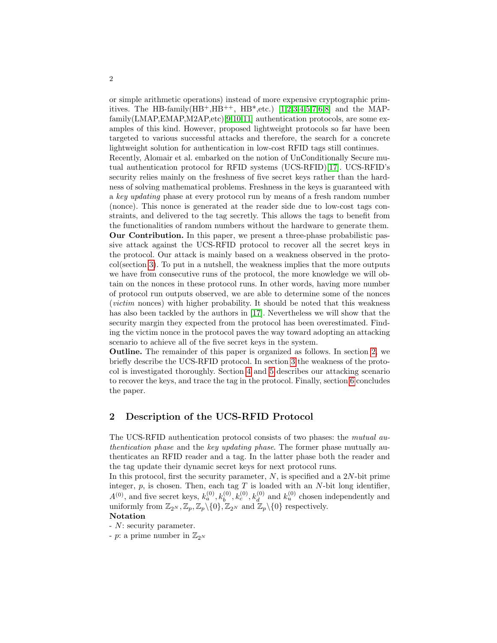or simple arithmetic operations) instead of more expensive cryptographic prim-itives. The HB-family(HB<sup>+</sup>,HB<sup>++</sup>, HB<sup>\*</sup>,etc.) [\[1,](#page-10-0)[2](#page-10-1)[,3](#page-10-2)[,4](#page-10-3)[,5,](#page-10-4)[7,](#page-11-6)[6](#page-11-7)[,8\]](#page-11-8) and the MAPfamily(LMAP,EMAP,M2AP,etc)[\[9,](#page-11-9)[10,](#page-11-10)[11\]](#page-11-11) authentication protocols, are some examples of this kind. However, proposed lightweight protocols so far have been targeted to various successful attacks and therefore, the search for a concrete lightweight solution for authentication in low-cost RFID tags still continues.

Recently, Alomair et al. embarked on the notion of UnConditionally Secure mutual authentication protocol for RFID systems (UCS-RFID)[\[17\]](#page-11-12). UCS-RFID's security relies mainly on the freshness of five secret keys rather than the hardness of solving mathematical problems. Freshness in the keys is guaranteed with a key updating phase at every protocol run by means of a fresh random number (nonce). This nonce is generated at the reader side due to low-cost tags constraints, and delivered to the tag secretly. This allows the tags to benefit from the functionalities of random numbers without the hardware to generate them. Our Contribution. In this paper, we present a three-phase probabilistic passive attack against the UCS-RFID protocol to recover all the secret keys in the protocol. Our attack is mainly based on a weakness observed in the protocol(section [3\)](#page-3-0). To put in a nutshell, the weakness implies that the more outputs we have from consecutive runs of the protocol, the more knowledge we will obtain on the nonces in these protocol runs. In other words, having more number of protocol run outputs observed, we are able to determine some of the nonces (victim nonces) with higher probability. It should be noted that this weakness has also been tackled by the authors in [\[17\]](#page-11-12). Nevertheless we will show that the security margin they expected from the protocol has been overestimated. Finding the victim nonce in the protocol paves the way toward adopting an attacking scenario to achieve all of the five secret keys in the system.

Outline. The remainder of this paper is organized as follows. In section [2,](#page-1-0) we briefly describe the UCS-RFID protocol. In section [3](#page-3-0) the weakness of the protocol is investigated thoroughly. Section [4](#page-5-0) and [5](#page-9-0) describes our attacking scenario to recover the keys, and trace the tag in the protocol. Finally, section [6](#page-10-5) concludes the paper.

# <span id="page-1-0"></span>2 Description of the UCS-RFID Protocol

The UCS-RFID authentication protocol consists of two phases: the mutual authentication phase and the key updating phase. The former phase mutually authenticates an RFID reader and a tag. In the latter phase both the reader and the tag update their dynamic secret keys for next protocol runs.

In this protocol, first the security parameter,  $N$ , is specified and a  $2N$ -bit prime integer,  $p$ , is chosen. Then, each tag  $T$  is loaded with an  $N$ -bit long identifier,  $A^{(0)}$ , and five secret keys,  $k_a^{(0)}, k_b^{(0)}, k_c^{(0)}, k_d^{(0)}$  and  $k_u^{(0)}$  chosen independently and uniformly from  $\mathbb{Z}_{2^N}, \mathbb{Z}_p, \mathbb{Z}_p\backslash\{0\}, \mathbb{Z}_{2^N}$  and  $\mathbb{Z}_p\backslash\{0\}$  respectively.

# Notation

- N: security parameter.

- p: a prime number in  $\mathbb{Z}_{2^N}$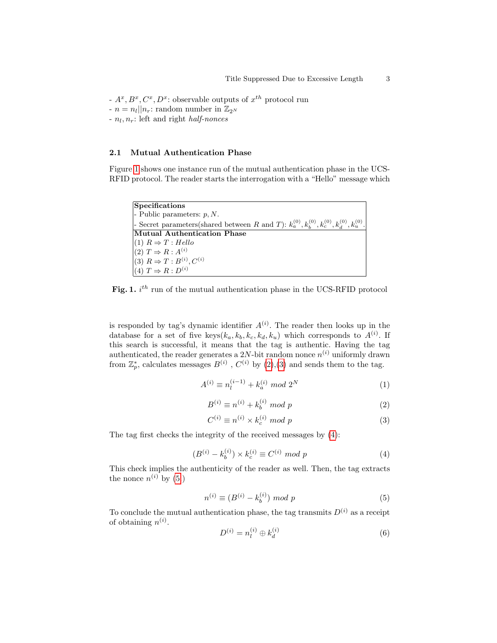-  $A^x, B^x, C^x, D^x$ : observable outputs of  $x^{th}$  protocol run -  $n = n_l || n_r$ : random number in  $\mathbb{Z}_{2^N}$  $- n_l, n_r$ : left and right *half-nonces* 

# 2.1 Mutual Authentication Phase

Figure [1](#page-2-0) shows one instance run of the mutual authentication phase in the UCS-RFID protocol. The reader starts the interrogation with a "Hello" message which

| Specifications                                                                                         |
|--------------------------------------------------------------------------------------------------------|
| - Public parameters: $p, N$ .                                                                          |
| - Secret parameters(shared between R and T): $k_a^{(0)}, k_a^{(0)}, k_c^{(0)}, k_a^{(0)}, k_u^{(0)}$ . |
| Mutual Authentication Phase                                                                            |
| $ (1) R \Rightarrow T : Hello$                                                                         |
| $(2) T \Rightarrow R : A^{(i)}$                                                                        |
| (3) $R \Rightarrow T : B^{(i)}$ , $C^{(i)}$                                                            |
| $(4) T \Rightarrow R : D^{(i)}$                                                                        |

<span id="page-2-0"></span>Fig. 1.  $i^{th}$  run of the mutual authentication phase in the UCS-RFID protocol

is responded by tag's dynamic identifier  $A^{(i)}$ . The reader then looks up in the database for a set of five keys $(k_a, k_b, k_c, k_d, k_u)$  which corresponds to  $A^{(i)}$ . If this search is successful, it means that the tag is authentic. Having the tag authenticated, the reader generates a 2N-bit random nonce  $n^{(i)}$  uniformly drawn from  $\mathbb{Z}_p^*$ , calculates messages  $B^{(i)}$ ,  $C^{(i)}$  by  $(2),(3)$  $(2),(3)$  $(2),(3)$  and sends them to the tag.

$$
A^{(i)} \equiv n_l^{(i-1)} + k_a^{(i)} \mod 2^N \tag{1}
$$

<span id="page-2-1"></span>
$$
B^{(i)} \equiv n^{(i)} + k_b^{(i)} \mod p \tag{2}
$$

<span id="page-2-2"></span>
$$
C^{(i)} \equiv n^{(i)} \times k_c^{(i)} \mod p \tag{3}
$$

The tag first checks the integrity of the received messages by [\(4\)](#page-2-3):

<span id="page-2-3"></span>
$$
(B^{(i)} - k_b^{(i)}) \times k_c^{(i)} \equiv C^{(i)} \mod p \tag{4}
$$

This check implies the authenticity of the reader as well. Then, the tag extracts the nonce  $n^{(i)}$  by [\(5.](#page-2-4))

<span id="page-2-4"></span>
$$
n^{(i)} \equiv (B^{(i)} - k_b^{(i)}) \mod p \tag{5}
$$

To conclude the mutual authentication phase, the tag transmits  $D^{(i)}$  as a receipt of obtaining  $n^{(i)}$ .

$$
D^{(i)} = n_l^{(i)} \oplus k_d^{(i)} \tag{6}
$$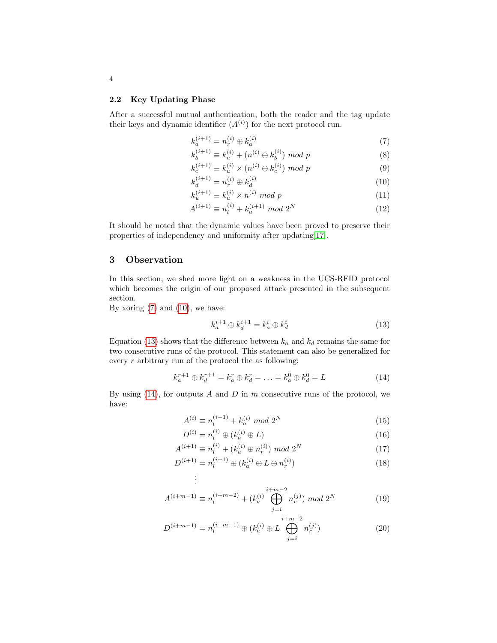## 2.2 Key Updating Phase

After a successful mutual authentication, both the reader and the tag update their keys and dynamic identifier  $(A^{(i)})$  for the next protocol run.

$$
k_a^{(i+1)} = n_r^{(i)} \oplus k_a^{(i)} \tag{7}
$$

<span id="page-3-1"></span>
$$
k_b^{(i+1)} \equiv k_u^{(i)} + (n^{(i)} \oplus k_b^{(i)}) \mod p \tag{8}
$$

$$
k_c^{(i+1)} \equiv k_u^{(i)} \times (n^{(i)} \oplus k_c^{(i)}) \mod p \tag{9}
$$

$$
k_d^{(i+1)} = n_r^{(i)} \oplus k_d^{(i)} \tag{10}
$$

$$
k_u^{(i+1)} \equiv k_u^{(i)} \times n^{(i)} \mod p \tag{11}
$$

$$
A^{(i+1)} \equiv n_l^{(i)} + k_a^{(i+1)} \mod 2^N \tag{12}
$$

It should be noted that the dynamic values have been proved to preserve their properties of independency and uniformity after updating[\[17\]](#page-11-12).

# <span id="page-3-0"></span>3 Observation

In this section, we shed more light on a weakness in the UCS-RFID protocol which becomes the origin of our proposed attack presented in the subsequent section.

By xoring  $(7)$  and  $(10)$ , we have:

<span id="page-3-2"></span>
$$
k_a^{i+1} \oplus k_d^{i+1} = k_a^i \oplus k_d^i \tag{13}
$$

Equation [\(13\)](#page-3-2) shows that the difference between  $k_a$  and  $k_d$  remains the same for two consecutive runs of the protocol. This statement can also be generalized for every  $r$  arbitrary run of the protocol the as following:

<span id="page-3-3"></span>
$$
k_a^{r+1} \oplus k_d^{r+1} = k_a^r \oplus k_d^r = \dots = k_a^0 \oplus k_d^0 = L \tag{14}
$$

By using  $(14)$ , for outputs A and D in m consecutive runs of the protocol, we have:

$$
A^{(i)} \equiv n_l^{(i-1)} + k_a^{(i)} \mod 2^N \tag{15}
$$

<span id="page-3-4"></span>
$$
D^{(i)} = n_l^{(i)} \oplus (k_a^{(i)} \oplus L) \tag{16}
$$

$$
A^{(i+1)} \equiv n_l^{(i)} + (k_a^{(i)} \oplus n_r^{(i)}) \mod 2^N
$$
 (17)

$$
D^{(i+1)} = n_l^{(i+1)} \oplus (k_a^{(i)} \oplus L \oplus n_r^{(i)}) \tag{18}
$$

$$
\vdots
$$
\n
$$
A^{(i+m-1)} \equiv n_i^{(i+m-2)} + (k_a^{(i)} \bigoplus_{j=i}^{i+m-2} n_r^{(j)}) \mod 2^N
$$
\n(19)

$$
D^{(i+m-1)} = n_l^{(i+m-1)} \oplus (k_a^{(i)} \oplus L \bigoplus_{j=i}^{i+m-2} n_r^{(j)})
$$
 (20)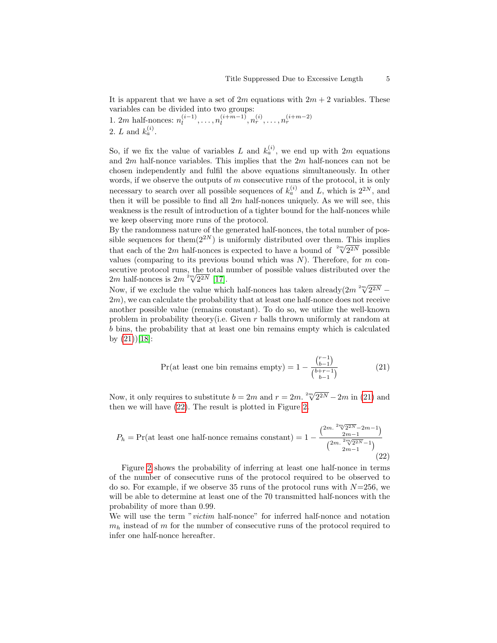It is apparent that we have a set of  $2m$  equations with  $2m + 2$  variables. These variables can be divided into two groups:

1. 2*m* half-nonces:  $n_l^{(i-1)}$  $\binom{i-1}{l}, \ldots, n_l^{(i+m-1)}$  $\binom{i+m-1}{l}, n_r^{(i)}, \ldots, n_r^{(i+m-2)}$ 2. L and  $k_a^{(i)}$ .

So, if we fix the value of variables L and  $k_a^{(i)}$ , we end up with  $2m$  equations and  $2m$  half-nonce variables. This implies that the  $2m$  half-nonces can not be chosen independently and fulfil the above equations simultaneously. In other words, if we observe the outputs of  $m$  consecutive runs of the protocol, it is only necessary to search over all possible sequences of  $k_a^{(i)}$  and L, which is  $2^{2N}$ , and then it will be possible to find all  $2m$  half-nonces uniquely. As we will see, this weakness is the result of introduction of a tighter bound for the half-nonces while we keep observing more runs of the protocol.

By the randomness nature of the generated half-nonces, the total number of possible sequences for them( $2^{2N}$ ) is uniformly distributed over them. This implies show sequences for them(2 ) is unnormly distributed over them. This implies that each of the 2m half-nonces is expected to have a bound of  $\sqrt[2^n]{2^{2N}}$  possible values (comparing to its previous bound which was  $N$ ). Therefore, for  $m$  consecutive protocol runs, the total number of possible values distributed over the secutive protocol runs, the total is<br>2*m* half-nonces is  $2m \sqrt[2m]{2^{2N}}$  [\[17\]](#page-11-12).

2*m* nan-nonces is 2*m*  $\sqrt{2^{2N}}$  [17].<br>Now, if we exclude the value which half-nonces has taken already( $2m^{2m}/2^{2N}$  –  $2m$ , we can calculate the probability that at least one half-nonce does not receive another possible value (remains constant). To do so, we utilize the well-known problem in probability theory(i.e. Given r balls thrown uniformly at random at b bins, the probability that at least one bin remains empty which is calculated by  $(21))$  $(21))$ [\[18\]](#page-11-13):

<span id="page-4-0"></span>
$$
\Pr(\text{at least one bin remains empty}) = 1 - \frac{\binom{r-1}{b-1}}{\binom{b+r-1}{b-1}} \tag{21}
$$

Now, it only requires to substitute  $b = 2m$  and  $r = 2m$ .  $\sqrt[2m]{2^{2N}} - 2m$  in [\(21\)](#page-4-0) and then we will have [\(22\)](#page-4-1). The result is plotted in Figure [2.](#page-5-1)

<span id="page-4-1"></span>
$$
P_h = \Pr(\text{at least one half-nonce remains constant}) = 1 - \frac{\binom{2m \cdot \frac{2m}{\sqrt{2^{2N}} - 2m - 1}}{2m - 1}}{\binom{2m \cdot \frac{2m}{\sqrt{2^{2N}} - 1}}{2m - 1}}
$$
(22)

Figure [2](#page-5-1) shows the probability of inferring at least one half-nonce in terms of the number of consecutive runs of the protocol required to be observed to do so. For example, if we observe 35 runs of the protocol runs with  $N=256$ , we will be able to determine at least one of the 70 transmitted half-nonces with the probability of more than 0.99.

We will use the term "*victim* half-nonce" for inferred half-nonce and notation  $m_h$  instead of m for the number of consecutive runs of the protocol required to infer one half-nonce hereafter.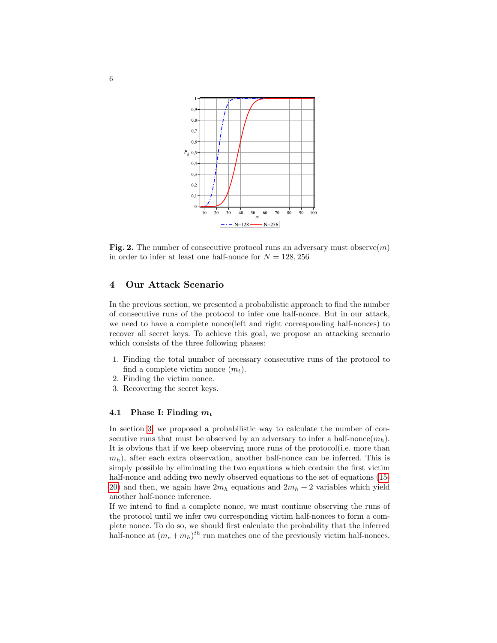

<span id="page-5-1"></span>Fig. 2. The number of consecutive protocol runs an adversary must observe $(m)$ in order to infer at least one half-nonce for  $N = 128, 256$ 

# <span id="page-5-0"></span>4 Our Attack Scenario

In the previous section, we presented a probabilistic approach to find the number of consecutive runs of the protocol to infer one half-nonce. But in our attack, we need to have a complete nonce(left and right corresponding half-nonces) to recover all secret keys. To achieve this goal, we propose an attacking scenario which consists of the three following phases:

- 1. Finding the total number of necessary consecutive runs of the protocol to find a complete victim nonce  $(m_t)$ .
- 2. Finding the victim nonce.
- 3. Recovering the secret keys.

#### 4.1 Phase I: Finding  $m_t$

In section [3,](#page-3-0) we proposed a probabilistic way to calculate the number of consecutive runs that must be observed by an adversary to infer a half-nonce $(m_h)$ . It is obvious that if we keep observing more runs of the protocol(i.e. more than  $m_h$ ), after each extra observation, another half-nonce can be inferred. This is simply possible by eliminating the two equations which contain the first victim half-nonce and adding two newly observed equations to the set of equations [\(15-](#page-3-4) [20\)](#page-3-4) and then, we again have  $2m_h$  equations and  $2m_h + 2$  variables which yield another half-nonce inference.

If we intend to find a complete nonce, we must continue observing the runs of the protocol until we infer two corresponding victim half-nonces to form a complete nonce. To do so, we should first calculate the probability that the inferred half-nonce at  $(m_e + m_h)^{th}$  run matches one of the previously victim half-nonces.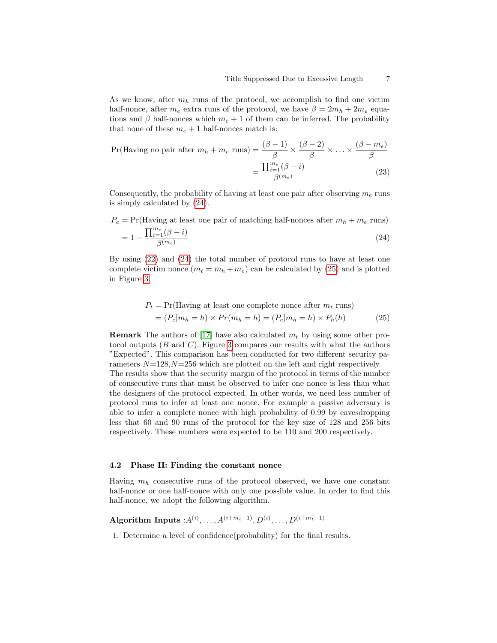As we know, after  $m_h$  runs of the protocol, we accomplish to find one victim half-nonce, after  $m_e$  extra runs of the protocol, we have  $\beta = 2m_h + 2m_e$  equations and  $\beta$  half-nonces which  $m_e + 1$  of them can be inferred. The probability that none of these  $m_e + 1$  half-nonces match is:

$$
\Pr(\text{Having no pair after } m_h + m_e \text{ runs}) = \frac{(\beta - 1)}{\beta} \times \frac{(\beta - 2)}{\beta} \times \dots \times \frac{(\beta - m_e)}{\beta}
$$

$$
= \frac{\prod_{i=1}^{m_e} (\beta - i)}{\beta^{(m_e)}} \tag{23}
$$

Consequently, the probability of having at least one pair after observing  $m_e$  runs is simply calculated by [\(24\)](#page-6-0).

<span id="page-6-0"></span>
$$
P_e = \Pr(\text{Having at least one pair of matching half-nonces after } m_h + m_e \text{ runs})
$$
  
= 
$$
1 - \frac{\prod_{i=1}^{m_e} (\beta - i)}{\beta^{(m_e)}}
$$
 (24)

By using [\(22\)](#page-4-1) and [\(24\)](#page-6-0) the total number of protocol runs to have at least one complete victim nonce  $(m_t = m_h + m_e)$  can be calculated by [\(25\)](#page-6-1) and is plotted in Figure [3.](#page-7-0)

<span id="page-6-1"></span>
$$
P_t = \Pr(\text{Having at least one complete nonce after } m_t \text{ runs})
$$
  
=  $(P_e|m_h = h) \times Pr(m_h = h) = (P_e|m_h = h) \times P_h(h)$  (25)

**Remark** The authors of [\[17\]](#page-11-12) have also calculated  $m_t$  by using some other protocol outputs ( $B$  and  $C$ ). Figure [3](#page-7-0) compares our results with what the authors "Expected". This comparison has been conducted for two different security parameters  $N=128$ ,  $N=256$  which are plotted on the left and right respectively.

The results show that the security margin of the protocol in terms of the number of consecutive runs that must be observed to infer one nonce is less than what the designers of the protocol expected. In other words, we need less number of protocol runs to infer at least one nonce. For example a passive adversary is able to infer a complete nonce with high probability of 0.99 by eavesdropping less that 60 and 90 runs of the protocol for the key size of 128 and 256 bits respectively. These numbers were expected to be 110 and 200 respectively.

#### 4.2 Phase II: Finding the constant nonce

Having  $m_h$  consecutive runs of the protocol observed, we have one constant half-nonce or one half-nonce with only one possible value. In order to find this half-nonce, we adopt the following algorithm.

Algorithm Inputs : $A^{(i)}, \ldots, A^{(i+m_t-1)}, D^{(i)}, \ldots, D^{(i+m_t-1)}$ 

1. Determine a level of confidence(probability) for the final results.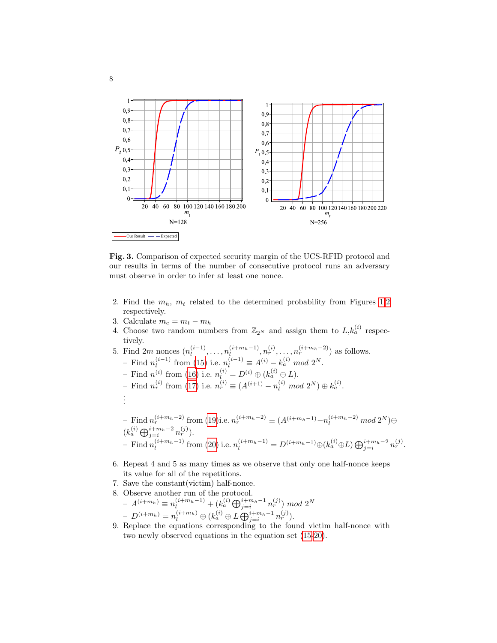

<span id="page-7-0"></span>Fig. 3. Comparison of expected security margin of the UCS-RFID protocol and our results in terms of the number of consecutive protocol runs an adversary must observe in order to infer at least one nonce.

- [2](#page-5-1). Find the  $m_h$ ,  $m_t$  related to the determined probability from Figures [1,](#page-2-0)2 respectively.
- 3. Calculate  $m_e = m_t m_h$
- 4. Choose two random numbers from  $\mathbb{Z}_{2^N}$  and assign them to  $L, k_a^{(i)}$  respectively.
- 5. Find  $2m$  nonces  $(n_l^{(i-1)})$  $\binom{(i-1)}{l}, \ldots, n \binom{(i+m_h-1)}{l}, n_r^{(i)}, \ldots, n_r^{(i+m_h-2)}$  as follows. – Find  $n_l^{(i-1)}$  $\ell_l^{(i-1)}$  from [\(15\)](#page-3-4) i.e.  $n_l^{(i-1)} \equiv A^{(i)} - k_a^{(i)} \mod 2^N$ .  $- \ \, \text{Find} \,\, n^{(i)} \,\, \text{from} \,\, (16) \,\, \text{i.e.} \,\, n^{(i)}_l = D^{(i)} \oplus (k^{(i)}_a \oplus L).$  $- \ \, \text{Find} \,\, n^{(i)} \,\, \text{from} \,\, (16) \,\, \text{i.e.} \,\, n^{(i)}_l = D^{(i)} \oplus (k^{(i)}_a \oplus L).$  $- \ \, \text{Find} \,\, n^{(i)} \,\, \text{from} \,\, (16) \,\, \text{i.e.} \,\, n^{(i)}_l = D^{(i)} \oplus (k^{(i)}_a \oplus L).$ 
	- Find  $n_r^{(i)}$  from [\(17\)](#page-3-4) i.e.  $n_r^{(i)} \equiv (A^{(i+1)} n_l^{(i)} \mod 2^N) \oplus k_a^{(i)}$ .
	- . . .

 $- \text{ Find } n_r^{(i+m_h-2)} \text{ from (19)}$  $- \text{ Find } n_r^{(i+m_h-2)} \text{ from (19)}$  $- \text{ Find } n_r^{(i+m_h-2)} \text{ from (19)}$ i.e.  $n_r^{(i+m_h-2)} \equiv (A^{(i+m_h-1)} - n_l^{(i+m_h-2)} \mod 2^N) \oplus$  $(k_a^{(i)} \bigoplus_{j=i}^{i+m_h-2} n_r^{(j)}).$ - Find  $n_l^{(i+m_h-1)}$  from [\(20\)](#page-3-4) i.e.  $n_l^{(i+m_h-1)} = D^{(i+m_h-1)} \oplus (k_a^{(i)} \oplus L) \bigoplus_{j=i}^{i+m_h-2} n_r^{(j)}$ .

- 6. Repeat 4 and 5 as many times as we observe that only one half-nonce keeps its value for all of the repetitions.
- 7. Save the constant(victim) half-nonce.
- 8. Observe another run of the protocol.
	- $A^{(i+m_h)} \equiv n_l^{(i+m_h-1)} + (k_a^{(i)} \bigoplus_{j=i}^{i+m_h-1} n_r^{(j)}) \mod 2^N$  $-D^{(i+m_h)} = n_l^{(i+m_h)} \oplus (k_a^{(i)} \oplus L \bigoplus_{j=i}^{i+m_h-1} n_r^{(j)}).$
- 9. Replace the equations corresponding to the found victim half-nonce with two newly observed equations in the equation set [\(15-20\)](#page-3-4).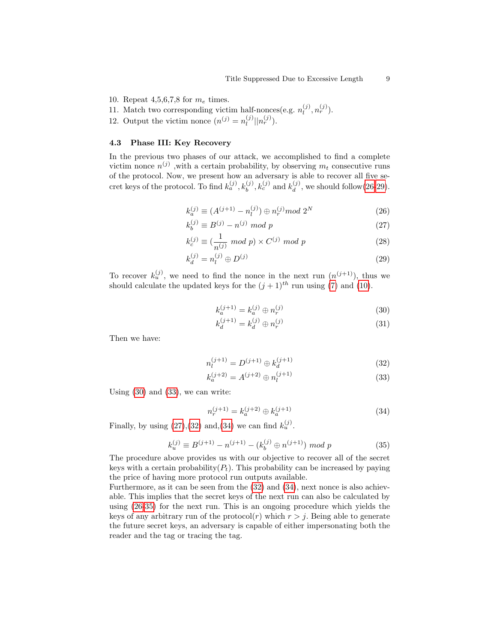- 10. Repeat  $4,5,6,7,8$  for  $m_e$  times.
- 11. Match two corresponding victim half-nonces(e.g.  $n_l^{(j)}$ )  $\binom{(j)}{l}, n_r^{(j)}$ ).
- 12. Output the victim nonce  $(n^{(j)} = n_j^{(j)})$  $\|n_r^{(j)}\|$ [n<sup>(j)</sup>].

#### <span id="page-8-5"></span>4.3 Phase III: Key Recovery

In the previous two phases of our attack, we accomplished to find a complete victim nonce  $n^{(j)}$ , with a certain probability, by observing  $m_t$  consecutive runs of the protocol. Now, we present how an adversary is able to recover all five secret keys of the protocol. To find  $k_a^{(j)}$ ,  $k_b^{(j)}$ ,  $k_c^{(j)}$  and  $k_d^{(j)}$  $d^{(J)}$ , we should follow[\(26-29\)](#page-8-0).

$$
k_a^{(j)} \equiv (A^{(j+1)} - n_l^{(j)}) \oplus n_r^{(j)} \mod 2^N
$$
 (26)

<span id="page-8-0"></span>
$$
k_b^{(j)} \equiv B^{(j)} - n^{(j)} \mod p \tag{27}
$$

$$
k_c^{(j)} \equiv \left(\frac{1}{n^{(j)}} \bmod p\right) \times C^{(j)} \bmod p \tag{28}
$$

$$
k_d^{(j)} = n_l^{(j)} \oplus D^{(j)} \tag{29}
$$

To recover  $k_u^{(j)}$ , we need to find the nonce in the next run  $(n^{(j+1)})$ , thus we should calculate the updated keys for the  $(j+1)^{th}$  run using [\(7\)](#page-3-1) and [\(10\)](#page-3-1).

$$
k_a^{(j+1)} = k_a^{(j)} \oplus n_r^{(j)} \tag{30}
$$

<span id="page-8-1"></span>
$$
k_d^{(j+1)} = k_d^{(j)} \oplus n_r^{(j)} \tag{31}
$$

Then we have:

$$
n_l^{(j+1)} = D^{(j+1)} \oplus k_d^{(j+1)} \tag{32}
$$

<span id="page-8-2"></span>
$$
k_a^{(j+2)} = A^{(j+2)} \oplus n_l^{(j+1)} \tag{33}
$$

Using  $(30)$  and  $(33)$ , we can write:

<span id="page-8-3"></span>
$$
n_r^{(j+1)} = k_a^{(j+2)} \oplus k_a^{(j+1)} \tag{34}
$$

Finally, by using  $(27),(32)$  $(27),(32)$  $(27),(32)$  and, $(34)$  we can find  $k_u^{(j)}$ .

<span id="page-8-4"></span>
$$
k_u^{(j)} \equiv B^{(j+1)} - n^{(j+1)} - (k_b^{(j)} \oplus n^{(j+1)}) \mod p \tag{35}
$$

The procedure above provides us with our objective to recover all of the secret keys with a certain probability( $P_t$ ). This probability can be increased by paying the price of having more protocol run outputs available.

Furthermore, as it can be seen from the [\(32\)](#page-8-2) and [\(34\)](#page-8-3), next nonce is also achievable. This implies that the secret keys of the next run can also be calculated by using [\(26](#page-8-0)[-35\)](#page-8-4) for the next run. This is an ongoing procedure which yields the keys of any arbitrary run of the protocol(r) which  $r > j$ . Being able to generate the future secret keys, an adversary is capable of either impersonating both the reader and the tag or tracing the tag.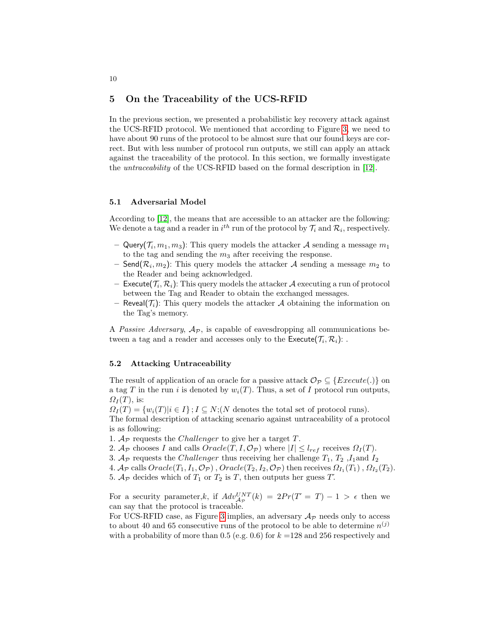## <span id="page-9-0"></span>5 On the Traceability of the UCS-RFID

In the previous section, we presented a probabilistic key recovery attack against the UCS-RFID protocol. We mentioned that according to Figure [3,](#page-7-0) we need to have about 90 runs of the protocol to be almost sure that our found keys are correct. But with less number of protocol run outputs, we still can apply an attack against the traceability of the protocol. In this section, we formally investigate the untraceability of the UCS-RFID based on the formal description in [\[12\]](#page-11-14).

## 5.1 Adversarial Model

According to [\[12\]](#page-11-14), the means that are accessible to an attacker are the following: We denote a tag and a reader in  $i^{th}$  run of the protocol by  $\mathcal{T}_i$  and  $\mathcal{R}_i$ , respectively.

- Query( $\mathcal{T}_i$ ,  $m_1$ ,  $m_3$ ): This query models the attacker  $\mathcal{A}$  sending a message  $m_1$ to the tag and sending the  $m_3$  after receiving the response.
- Send $(\mathcal{R}_i, m_2)$ : This query models the attacker A sending a message  $m_2$  to the Reader and being acknowledged.
- $-$  Execute $(\mathcal{T}_i,\mathcal{R}_i)$ : This query models the attacker  $\mathcal{A}$  executing a run of protocol between the Tag and Reader to obtain the exchanged messages.
- Reveal $(\mathcal{T}_i)$ : This query models the attacker A obtaining the information on the Tag's memory.

A Passive Adversary,  $A_{\mathcal{P}}$ , is capable of eavesdropping all communications between a tag and a reader and accesses only to the  $\mathsf{Execute}(\mathcal{T}_i, \mathcal{R}_i)$ : .

#### 5.2 Attacking Untraceability

The result of application of an oracle for a passive attack  $\mathcal{O}_{\mathcal{P}} \subseteq \{Execute(.)\}$  on a tag T in the run i is denoted by  $w_i(T)$ . Thus, a set of I protocol run outputs,  $\Omega_I(T)$ , is:

 $\Omega_I(T) = \{w_i(T)|i \in I\}$ ;  $I \subseteq N$ ;(N denotes the total set of protocol runs).

The formal description of attacking scenario against untraceability of a protocol is as following:

1.  $A_{\mathcal{P}}$  requests the *Challenger* to give her a target T.

- 2.  $\mathcal{A}_{\mathcal{P}}$  chooses I and calls  $Oracle(T, I, \mathcal{O}_{\mathcal{P}})$  where  $|I| \leq l_{ref}$  receives  $\Omega_I(T)$ .
- 3.  $A_{\mathcal{P}}$  requests the *Challenger* thus receiving her challenge  $T_1, T_2, I_1$  and  $I_2$
- 4.  $\mathcal{A}_{\mathcal{P}}$  calls  $Oracle(T_1, I_1, \mathcal{O}_{\mathcal{P}}), Oracle(T_2, I_2, \mathcal{O}_{\mathcal{P}})$  then receives  $\Omega_{I_1}(T_1), \Omega_{I_2}(T_2)$ .
- 5.  $A_{\mathcal{P}}$  decides which of  $T_1$  or  $T_2$  is  $T$ , then outputs her guess  $T'$ .

For a security parameter,k, if  $Adv_{\mathcal{A}P}^{UNT}(k) = 2Pr(T = T) - 1 > \epsilon$  then we can say that the protocol is traceable.

For UCS-RFID case, as Figure [3](#page-7-0) implies, an adversary  $\mathcal{A}_{\mathcal{P}}$  needs only to access to about 40 and 65 consecutive runs of the protocol to be able to determine  $n^{(j)}$ with a probability of more than 0.5 (e.g. 0.6) for  $k = 128$  and 256 respectively and

10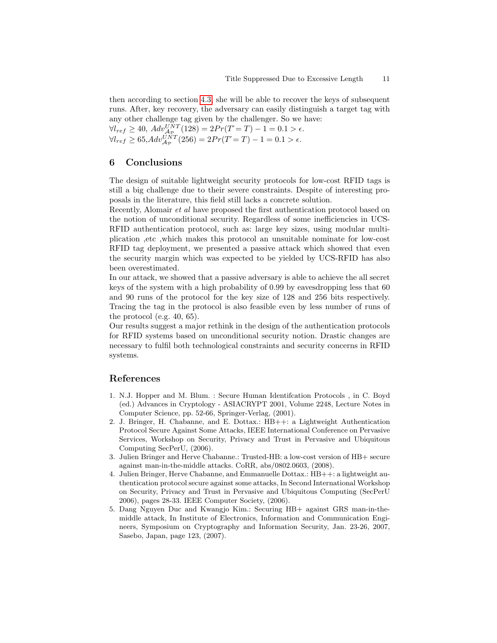then according to section [4.3,](#page-8-5) she will be able to recover the keys of subsequent runs. After, key recovery, the adversary can easily distinguish a target tag with any other challenge tag given by the challenger. So we have:  $\forall l_{ref} \geq 40, \, Adv_{\mathcal{A}_{\mathcal{P}}}^{UNT}(128) = 2Pr(T = T) - 1 = 0.1 > \epsilon.$ 

 $\forall l_{ref} \geq 65, Adv_{A_{\mathcal{P}}}^{UNT}(256) = 2Pr(T = T) - 1 = 0.1 > \epsilon.$ 

# <span id="page-10-5"></span>6 Conclusions

The design of suitable lightweight security protocols for low-cost RFID tags is still a big challenge due to their severe constraints. Despite of interesting proposals in the literature, this field still lacks a concrete solution.

Recently, Alomair et al have proposed the first authentication protocol based on the notion of unconditional security. Regardless of some inefficiencies in UCS-RFID authentication protocol, such as: large key sizes, using modular multiplication ,etc ,which makes this protocol an unsuitable nominate for low-cost RFID tag deployment, we presented a passive attack which showed that even the security margin which was expected to be yielded by UCS-RFID has also been overestimated.

In our attack, we showed that a passive adversary is able to achieve the all secret keys of the system with a high probability of 0.99 by eavesdropping less that 60 and 90 runs of the protocol for the key size of 128 and 256 bits respectively. Tracing the tag in the protocol is also feasible even by less number of runs of the protocol (e.g. 40, 65).

Our results suggest a major rethink in the design of the authentication protocols for RFID systems based on unconditional security notion. Drastic changes are necessary to fulfil both technological constraints and security concerns in RFID systems.

## References

- <span id="page-10-0"></span>1. N.J. Hopper and M. Blum. : Secure Human Identifcation Protocols , in C. Boyd (ed.) Advances in Cryptology - ASIACRYPT 2001, Volume 2248, Lecture Notes in Computer Science, pp. 52-66, Springer-Verlag, (2001).
- <span id="page-10-1"></span>2. J. Bringer, H. Chabanne, and E. Dottax.: HB++: a Lightweight Authentication Protocol Secure Against Some Attacks, IEEE International Conference on Pervasive Services, Workshop on Security, Privacy and Trust in Pervasive and Ubiquitous Computing SecPerU, (2006).
- <span id="page-10-2"></span>3. Julien Bringer and Herve Chabanne.: Trusted-HB: a low-cost version of HB+ secure against man-in-the-middle attacks. CoRR, abs/0802.0603, (2008).
- <span id="page-10-3"></span>4. Julien Bringer, Herve Chabanne, and Emmanuelle Dottax.: HB++: a lightweight authentication protocol secure against some attacks, In Second International Workshop on Security, Privacy and Trust in Pervasive and Ubiquitous Computing (SecPerU 2006), pages 28-33. IEEE Computer Society, (2006).
- <span id="page-10-4"></span>5. Dang Nguyen Duc and Kwangjo Kim.: Securing HB+ against GRS man-in-themiddle attack, In Institute of Electronics, Information and Communication Engineers, Symposium on Cryptography and Information Security, Jan. 23-26, 2007, Sasebo, Japan, page 123, (2007).